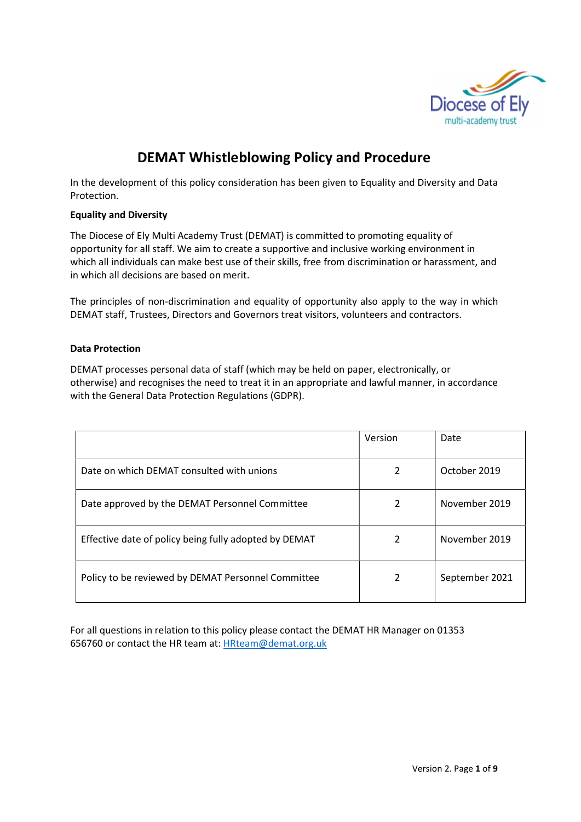

# DEMAT Whistleblowing Policy and Procedure

In the development of this policy consideration has been given to Equality and Diversity and Data Protection.

## Equality and Diversity

The Diocese of Ely Multi Academy Trust (DEMAT) is committed to promoting equality of opportunity for all staff. We aim to create a supportive and inclusive working environment in which all individuals can make best use of their skills, free from discrimination or harassment, and in which all decisions are based on merit.

The principles of non-discrimination and equality of opportunity also apply to the way in which DEMAT staff, Trustees, Directors and Governors treat visitors, volunteers and contractors.

## Data Protection

DEMAT processes personal data of staff (which may be held on paper, electronically, or otherwise) and recognises the need to treat it in an appropriate and lawful manner, in accordance with the General Data Protection Regulations (GDPR).

|                                                       | Version | Date           |
|-------------------------------------------------------|---------|----------------|
| Date on which DEMAT consulted with unions             | 2       | October 2019   |
| Date approved by the DEMAT Personnel Committee        | 2       | November 2019  |
| Effective date of policy being fully adopted by DEMAT | 2       | November 2019  |
| Policy to be reviewed by DEMAT Personnel Committee    | 2       | September 2021 |

For all questions in relation to this policy please contact the DEMAT HR Manager on 01353 656760 or contact the HR team at: HRteam@demat.org.uk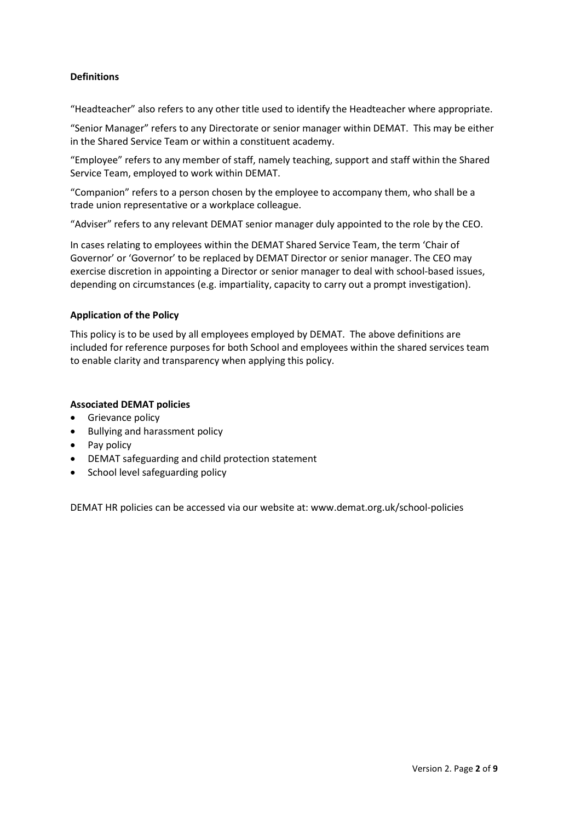## **Definitions**

"Headteacher" also refers to any other title used to identify the Headteacher where appropriate.

"Senior Manager" refers to any Directorate or senior manager within DEMAT. This may be either in the Shared Service Team or within a constituent academy.

"Employee" refers to any member of staff, namely teaching, support and staff within the Shared Service Team, employed to work within DEMAT.

"Companion" refers to a person chosen by the employee to accompany them, who shall be a trade union representative or a workplace colleague.

"Adviser" refers to any relevant DEMAT senior manager duly appointed to the role by the CEO.

In cases relating to employees within the DEMAT Shared Service Team, the term 'Chair of Governor' or 'Governor' to be replaced by DEMAT Director or senior manager. The CEO may exercise discretion in appointing a Director or senior manager to deal with school-based issues, depending on circumstances (e.g. impartiality, capacity to carry out a prompt investigation).

#### Application of the Policy

This policy is to be used by all employees employed by DEMAT. The above definitions are included for reference purposes for both School and employees within the shared services team to enable clarity and transparency when applying this policy.

#### Associated DEMAT policies

- Grievance policy
- Bullying and harassment policy
- Pay policy
- DEMAT safeguarding and child protection statement
- School level safeguarding policy

DEMAT HR policies can be accessed via our website at: www.demat.org.uk/school-policies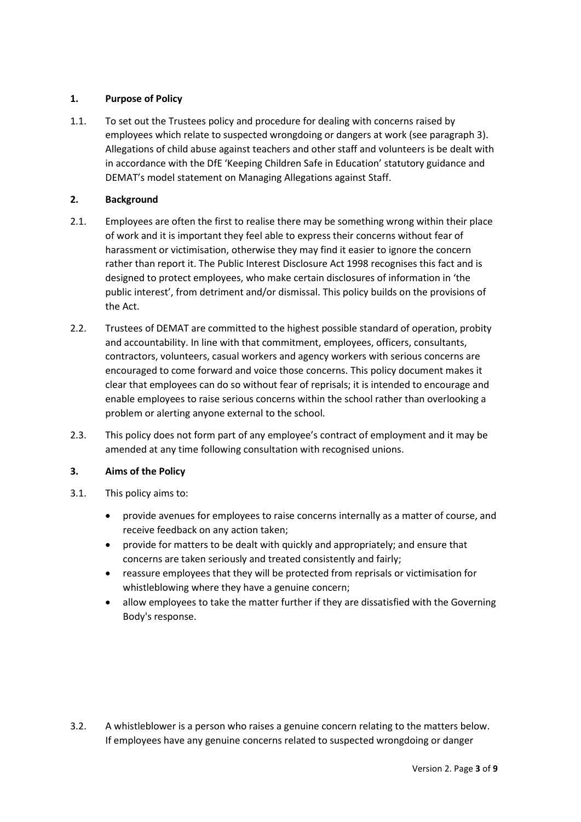# 1. Purpose of Policy

1.1. To set out the Trustees policy and procedure for dealing with concerns raised by employees which relate to suspected wrongdoing or dangers at work (see paragraph 3). Allegations of child abuse against teachers and other staff and volunteers is be dealt with in accordance with the DfE 'Keeping Children Safe in Education' statutory guidance and DEMAT's model statement on Managing Allegations against Staff.

# 2. Background

- 2.1. Employees are often the first to realise there may be something wrong within their place of work and it is important they feel able to express their concerns without fear of harassment or victimisation, otherwise they may find it easier to ignore the concern rather than report it. The Public Interest Disclosure Act 1998 recognises this fact and is designed to protect employees, who make certain disclosures of information in 'the public interest', from detriment and/or dismissal. This policy builds on the provisions of the Act.
- 2.2. Trustees of DEMAT are committed to the highest possible standard of operation, probity and accountability. In line with that commitment, employees, officers, consultants, contractors, volunteers, casual workers and agency workers with serious concerns are encouraged to come forward and voice those concerns. This policy document makes it clear that employees can do so without fear of reprisals; it is intended to encourage and enable employees to raise serious concerns within the school rather than overlooking a problem or alerting anyone external to the school.
- 2.3. This policy does not form part of any employee's contract of employment and it may be amended at any time following consultation with recognised unions.

# 3. Aims of the Policy

- 3.1. This policy aims to:
	- provide avenues for employees to raise concerns internally as a matter of course, and receive feedback on any action taken;
	- provide for matters to be dealt with quickly and appropriately; and ensure that concerns are taken seriously and treated consistently and fairly;
	- reassure employees that they will be protected from reprisals or victimisation for whistleblowing where they have a genuine concern;
	- allow employees to take the matter further if they are dissatisfied with the Governing Body's response.

3.2. A whistleblower is a person who raises a genuine concern relating to the matters below. If employees have any genuine concerns related to suspected wrongdoing or danger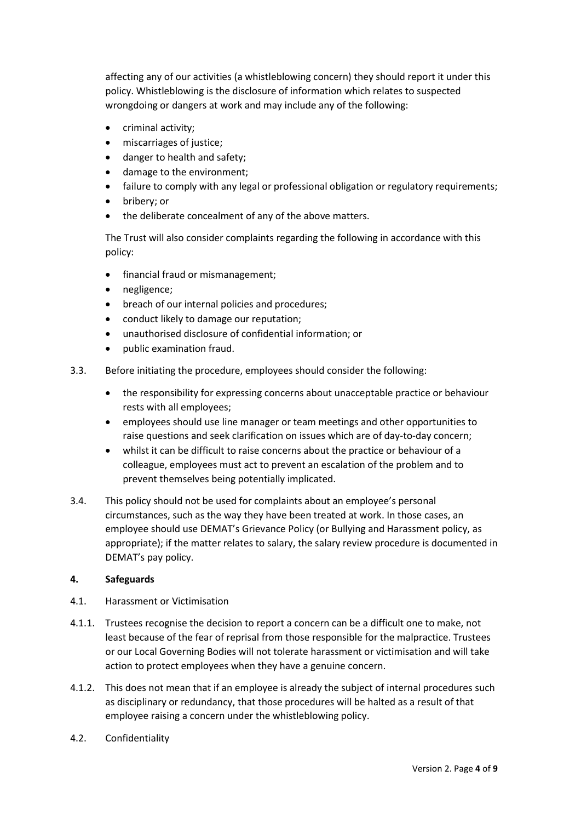affecting any of our activities (a whistleblowing concern) they should report it under this policy. Whistleblowing is the disclosure of information which relates to suspected wrongdoing or dangers at work and may include any of the following:

- criminal activity;
- miscarriages of justice;
- danger to health and safety;
- damage to the environment;
- failure to comply with any legal or professional obligation or regulatory requirements;
- bribery; or
- the deliberate concealment of any of the above matters.

The Trust will also consider complaints regarding the following in accordance with this policy:

- financial fraud or mismanagement;
- negligence;
- breach of our internal policies and procedures;
- conduct likely to damage our reputation;
- unauthorised disclosure of confidential information; or
- public examination fraud.
- 3.3. Before initiating the procedure, employees should consider the following:
	- the responsibility for expressing concerns about unacceptable practice or behaviour rests with all employees;
	- employees should use line manager or team meetings and other opportunities to raise questions and seek clarification on issues which are of day-to-day concern;
	- whilst it can be difficult to raise concerns about the practice or behaviour of a colleague, employees must act to prevent an escalation of the problem and to prevent themselves being potentially implicated.
- 3.4. This policy should not be used for complaints about an employee's personal circumstances, such as the way they have been treated at work. In those cases, an employee should use DEMAT's Grievance Policy (or Bullying and Harassment policy, as appropriate); if the matter relates to salary, the salary review procedure is documented in DEMAT's pay policy.

# 4. Safeguards

- 4.1. Harassment or Victimisation
- 4.1.1. Trustees recognise the decision to report a concern can be a difficult one to make, not least because of the fear of reprisal from those responsible for the malpractice. Trustees or our Local Governing Bodies will not tolerate harassment or victimisation and will take action to protect employees when they have a genuine concern.
- 4.1.2. This does not mean that if an employee is already the subject of internal procedures such as disciplinary or redundancy, that those procedures will be halted as a result of that employee raising a concern under the whistleblowing policy.
- 4.2. Confidentiality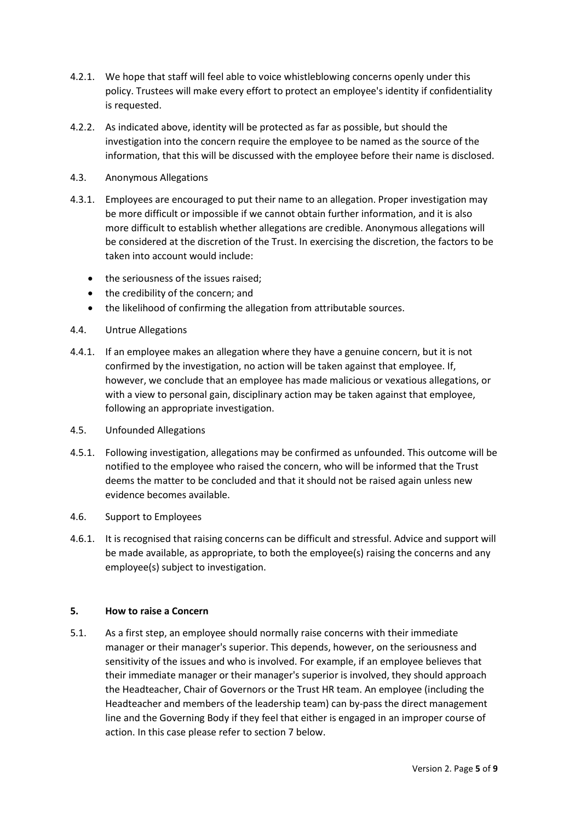- 4.2.1. We hope that staff will feel able to voice whistleblowing concerns openly under this policy. Trustees will make every effort to protect an employee's identity if confidentiality is requested.
- 4.2.2. As indicated above, identity will be protected as far as possible, but should the investigation into the concern require the employee to be named as the source of the information, that this will be discussed with the employee before their name is disclosed.
- 4.3. Anonymous Allegations
- 4.3.1. Employees are encouraged to put their name to an allegation. Proper investigation may be more difficult or impossible if we cannot obtain further information, and it is also more difficult to establish whether allegations are credible. Anonymous allegations will be considered at the discretion of the Trust. In exercising the discretion, the factors to be taken into account would include:
	- the seriousness of the issues raised;
	- the credibility of the concern; and
	- the likelihood of confirming the allegation from attributable sources.
- 4.4. Untrue Allegations
- 4.4.1. If an employee makes an allegation where they have a genuine concern, but it is not confirmed by the investigation, no action will be taken against that employee. If, however, we conclude that an employee has made malicious or vexatious allegations, or with a view to personal gain, disciplinary action may be taken against that employee, following an appropriate investigation.
- 4.5. Unfounded Allegations
- 4.5.1. Following investigation, allegations may be confirmed as unfounded. This outcome will be notified to the employee who raised the concern, who will be informed that the Trust deems the matter to be concluded and that it should not be raised again unless new evidence becomes available.
- 4.6. Support to Employees
- 4.6.1. It is recognised that raising concerns can be difficult and stressful. Advice and support will be made available, as appropriate, to both the employee(s) raising the concerns and any employee(s) subject to investigation.

#### 5. How to raise a Concern

5.1. As a first step, an employee should normally raise concerns with their immediate manager or their manager's superior. This depends, however, on the seriousness and sensitivity of the issues and who is involved. For example, if an employee believes that their immediate manager or their manager's superior is involved, they should approach the Headteacher, Chair of Governors or the Trust HR team. An employee (including the Headteacher and members of the leadership team) can by-pass the direct management line and the Governing Body if they feel that either is engaged in an improper course of action. In this case please refer to section 7 below.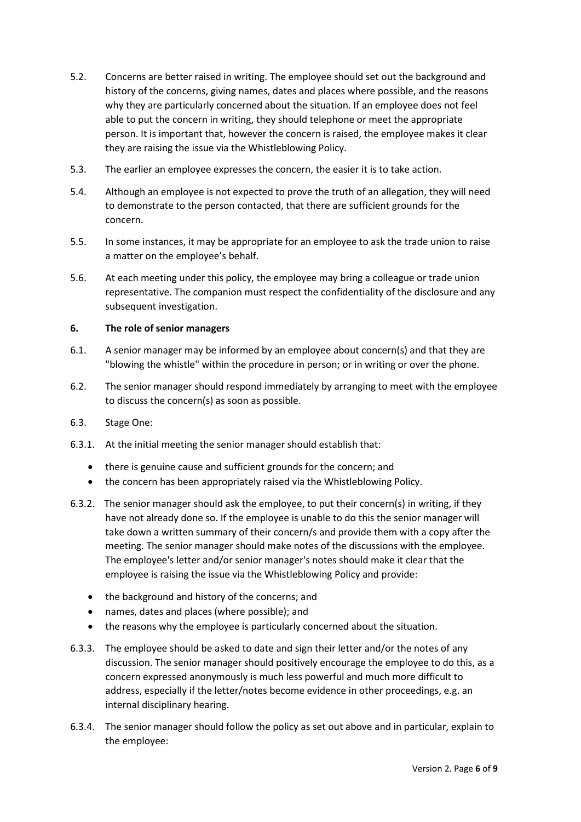- 5.2. Concerns are better raised in writing. The employee should set out the background and history of the concerns, giving names, dates and places where possible, and the reasons why they are particularly concerned about the situation. If an employee does not feel able to put the concern in writing, they should telephone or meet the appropriate person. It is important that, however the concern is raised, the employee makes it clear they are raising the issue via the Whistleblowing Policy.
- 5.3. The earlier an employee expresses the concern, the easier it is to take action.
- 5.4. Although an employee is not expected to prove the truth of an allegation, they will need to demonstrate to the person contacted, that there are sufficient grounds for the concern.
- 5.5. In some instances, it may be appropriate for an employee to ask the trade union to raise a matter on the employee's behalf.
- 5.6. At each meeting under this policy, the employee may bring a colleague or trade union representative. The companion must respect the confidentiality of the disclosure and any subsequent investigation.

## 6. The role of senior managers

- 6.1. A senior manager may be informed by an employee about concern(s) and that they are "blowing the whistle" within the procedure in person; or in writing or over the phone.
- 6.2. The senior manager should respond immediately by arranging to meet with the employee to discuss the concern(s) as soon as possible.
- 6.3. Stage One:
- 6.3.1. At the initial meeting the senior manager should establish that:
	- there is genuine cause and sufficient grounds for the concern; and
	- the concern has been appropriately raised via the Whistleblowing Policy.
- 6.3.2. The senior manager should ask the employee, to put their concern(s) in writing, if they have not already done so. If the employee is unable to do this the senior manager will take down a written summary of their concern/s and provide them with a copy after the meeting. The senior manager should make notes of the discussions with the employee. The employee's letter and/or senior manager's notes should make it clear that the employee is raising the issue via the Whistleblowing Policy and provide:
	- the background and history of the concerns; and
	- names, dates and places (where possible); and
	- the reasons why the employee is particularly concerned about the situation.
- 6.3.3. The employee should be asked to date and sign their letter and/or the notes of any discussion. The senior manager should positively encourage the employee to do this, as a concern expressed anonymously is much less powerful and much more difficult to address, especially if the letter/notes become evidence in other proceedings, e.g. an internal disciplinary hearing.
- 6.3.4. The senior manager should follow the policy as set out above and in particular, explain to the employee: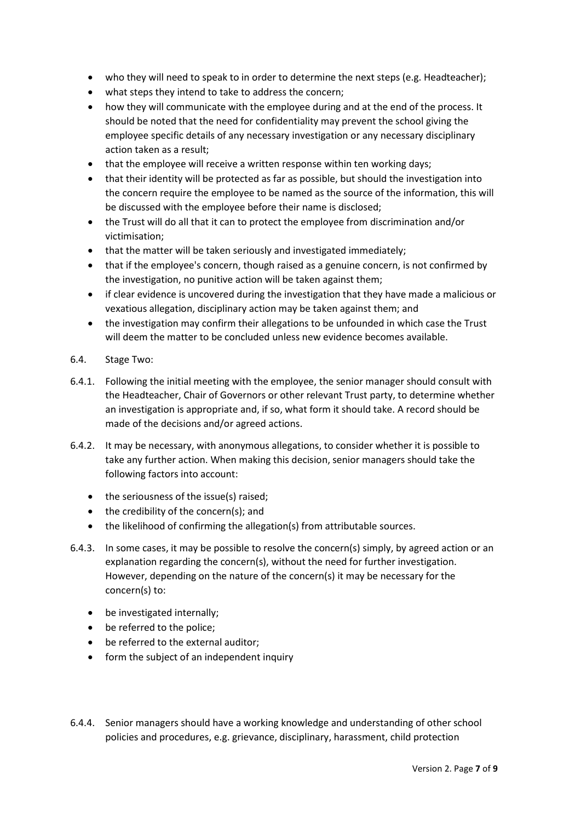- who they will need to speak to in order to determine the next steps (e.g. Headteacher);
- what steps they intend to take to address the concern;
- how they will communicate with the employee during and at the end of the process. It should be noted that the need for confidentiality may prevent the school giving the employee specific details of any necessary investigation or any necessary disciplinary action taken as a result;
- that the employee will receive a written response within ten working days;
- that their identity will be protected as far as possible, but should the investigation into the concern require the employee to be named as the source of the information, this will be discussed with the employee before their name is disclosed;
- the Trust will do all that it can to protect the employee from discrimination and/or victimisation;
- that the matter will be taken seriously and investigated immediately;
- that if the employee's concern, though raised as a genuine concern, is not confirmed by the investigation, no punitive action will be taken against them;
- if clear evidence is uncovered during the investigation that they have made a malicious or vexatious allegation, disciplinary action may be taken against them; and
- the investigation may confirm their allegations to be unfounded in which case the Trust will deem the matter to be concluded unless new evidence becomes available.
- 6.4. Stage Two:
- 6.4.1. Following the initial meeting with the employee, the senior manager should consult with the Headteacher, Chair of Governors or other relevant Trust party, to determine whether an investigation is appropriate and, if so, what form it should take. A record should be made of the decisions and/or agreed actions.
- 6.4.2. It may be necessary, with anonymous allegations, to consider whether it is possible to take any further action. When making this decision, senior managers should take the following factors into account:
	- the seriousness of the issue(s) raised;
	- $\bullet$  the credibility of the concern(s); and
	- the likelihood of confirming the allegation(s) from attributable sources.
- 6.4.3. In some cases, it may be possible to resolve the concern(s) simply, by agreed action or an explanation regarding the concern(s), without the need for further investigation. However, depending on the nature of the concern(s) it may be necessary for the concern(s) to:
	- be investigated internally;
	- be referred to the police:
	- be referred to the external auditor:
	- form the subject of an independent inquiry
- 6.4.4. Senior managers should have a working knowledge and understanding of other school policies and procedures, e.g. grievance, disciplinary, harassment, child protection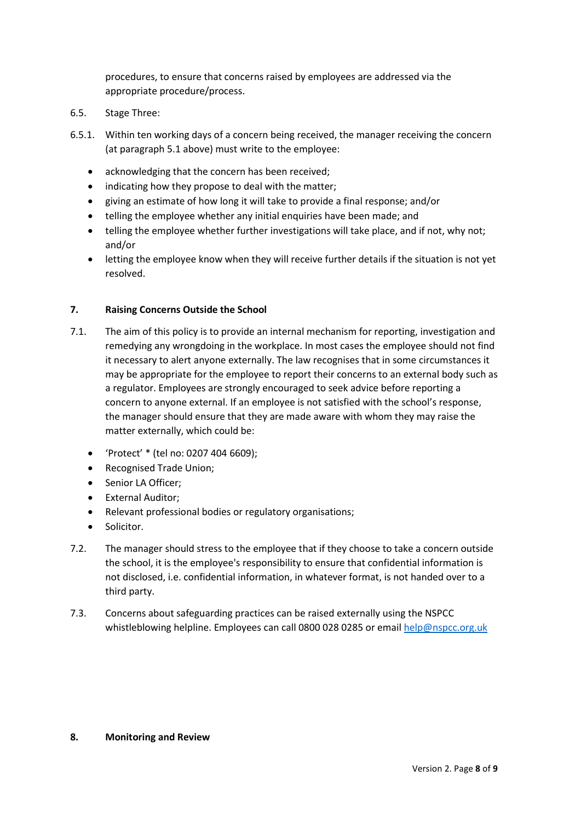procedures, to ensure that concerns raised by employees are addressed via the appropriate procedure/process.

- 6.5. Stage Three:
- 6.5.1. Within ten working days of a concern being received, the manager receiving the concern (at paragraph 5.1 above) must write to the employee:
	- acknowledging that the concern has been received;
	- indicating how they propose to deal with the matter;
	- giving an estimate of how long it will take to provide a final response; and/or
	- telling the employee whether any initial enquiries have been made; and
	- telling the employee whether further investigations will take place, and if not, why not; and/or
	- letting the employee know when they will receive further details if the situation is not yet resolved.

# 7. Raising Concerns Outside the School

- 7.1. The aim of this policy is to provide an internal mechanism for reporting, investigation and remedying any wrongdoing in the workplace. In most cases the employee should not find it necessary to alert anyone externally. The law recognises that in some circumstances it may be appropriate for the employee to report their concerns to an external body such as a regulator. Employees are strongly encouraged to seek advice before reporting a concern to anyone external. If an employee is not satisfied with the school's response, the manager should ensure that they are made aware with whom they may raise the matter externally, which could be:
	- 'Protect' \* (tel no: 0207 404 6609);
	- Recognised Trade Union;
	- Senior LA Officer:
	- External Auditor:
	- Relevant professional bodies or regulatory organisations;
	- Solicitor.
- 7.2. The manager should stress to the employee that if they choose to take a concern outside the school, it is the employee's responsibility to ensure that confidential information is not disclosed, i.e. confidential information, in whatever format, is not handed over to a third party.
- 7.3. Concerns about safeguarding practices can be raised externally using the NSPCC whistleblowing helpline. Employees can call 0800 028 0285 or email help@nspcc.org.uk

#### 8. Monitoring and Review